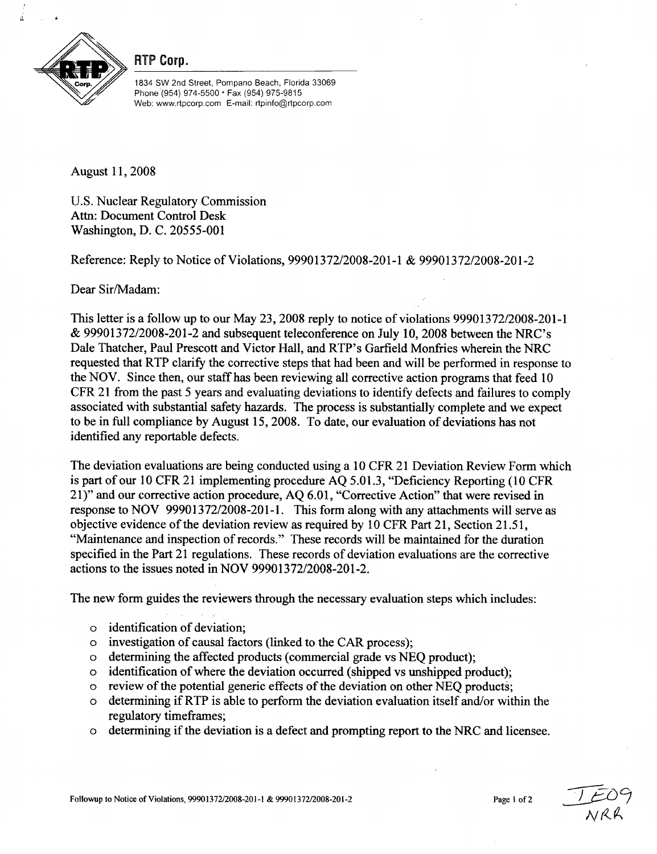

RTP Corp.

1834 SW 2nd Street, Pompano Beach, Florida 33069 Phone (954) 974-5500 • Fax (954) 975-9815 Web: www.rtpcorp.com E-mail: rtpinfo@rtpcorp.com

August 11, 2008

U.S. Nuclear Regulatory Commission Attn: Document Control Desk Washington, D. C. 20555-001

Reference: Reply to Notice of Violations, 99901372/2008-201-1 & 99901372/2008-201-2

Dear Sir/Madam:

This letter is a follow up to our May 23, 2008 reply to notice of violations 99901372/2008-201-1 & 99901372/2008-201-2 and subsequent teleconference on July 10, 2008 between the NRC's Dale Thatcher, Paul Prescott and Victor Hall, and RTP's Garfield Monfries wherein the NRC requested that RTP clarify the corrective steps that had been and will be performed in response to the NOV. Since then, our staff has been reviewing all corrective action programs that feed 10 CFR 21 from the past 5 years and evaluating deviations to identify defects and failures to comply associated with substantial safety hazards. The process is substantially complete and we expect to be in full compliance by August 15, 2008. To date, our evaluation of deviations has not identified any reportable defects.

The deviation evaluations are being conducted using a 10 CFR 21 Deviation Review Form which is part of our 10 CFR 21 implementing procedure AQ 5.01.3, "Deficiency Reporting (10 CFR 21)" and our corrective action procedure, AQ 6.01, "Corrective Action" that were revised in response to NOV 99901372/2008-201-1. This form along with any attachments will serve as objective evidence of the deviation review as required by 10 CFR Part 21, Section 21.51, "Maintenance and inspection of records." These records will be maintained for the duration specified in the Part 21 regulations. These records of deviation evaluations are the corrective actions to the issues noted in NOV 99901372/2008-201-2.

The new form guides the reviewers through the necessary evaluation steps which includes:

- o identification of deviation;
- o investigation of causal factors (linked to the CAR process);
- o determining the affected products (commercial grade vs NEQ product);
- o identification of where the deviation occurred (shipped vs unshipped product);
- o review of the potential generic effects of the deviation on other NEQ products;
- o determining if RTP is able to perform the deviation evaluation itself and/or within the regulatory timeframes;
- o determining if the deviation is a defect and prompting report to the NRC and licensee.

*Alr*